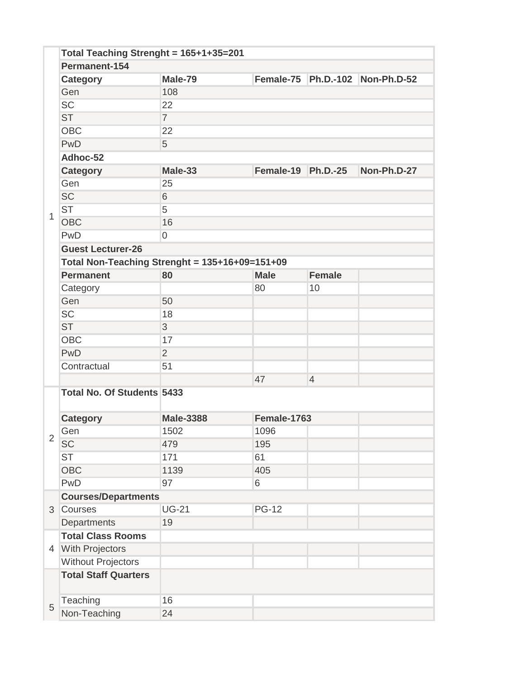|                | Total Teaching Strenght = 165+1+35=201 |                                                |                            |                |                                 |  |  |
|----------------|----------------------------------------|------------------------------------------------|----------------------------|----------------|---------------------------------|--|--|
|                | Permanent-154                          |                                                |                            |                |                                 |  |  |
|                | <b>Category</b>                        | Male-79                                        |                            |                | Female-75 Ph.D.-102 Non-Ph.D-52 |  |  |
|                | Gen                                    | 108                                            |                            |                |                                 |  |  |
|                | <b>SC</b>                              | 22                                             |                            |                |                                 |  |  |
|                | <b>ST</b>                              | $\overline{7}$                                 |                            |                |                                 |  |  |
|                | <b>OBC</b>                             | 22                                             |                            |                |                                 |  |  |
|                | PwD                                    | 5                                              |                            |                |                                 |  |  |
|                | Adhoc-52                               |                                                |                            |                |                                 |  |  |
|                | <b>Category</b>                        | Male-33                                        | Female-19 $\vert$ Ph.D.-25 |                | Non-Ph.D-27                     |  |  |
|                | Gen                                    | 25                                             |                            |                |                                 |  |  |
|                | <b>SC</b>                              | 6                                              |                            |                |                                 |  |  |
| $\mathbf{1}$   | <b>ST</b>                              | 5                                              |                            |                |                                 |  |  |
|                | <b>OBC</b>                             | 16                                             |                            |                |                                 |  |  |
|                | PwD                                    | $\overline{0}$                                 |                            |                |                                 |  |  |
|                | <b>Guest Lecturer-26</b>               |                                                |                            |                |                                 |  |  |
|                |                                        | Total Non-Teaching Strenght = 135+16+09=151+09 |                            |                |                                 |  |  |
|                | <b>Permanent</b>                       | 80                                             | <b>Male</b>                | <b>Female</b>  |                                 |  |  |
|                | Category                               |                                                | 80                         | 10             |                                 |  |  |
|                | Gen                                    | 50                                             |                            |                |                                 |  |  |
|                | <b>SC</b>                              | 18                                             |                            |                |                                 |  |  |
|                | <b>ST</b>                              | 3                                              |                            |                |                                 |  |  |
|                | <b>OBC</b>                             | 17                                             |                            |                |                                 |  |  |
|                | PwD                                    | $\overline{2}$                                 |                            |                |                                 |  |  |
|                | Contractual                            | 51                                             |                            |                |                                 |  |  |
|                |                                        |                                                | 47                         | $\overline{4}$ |                                 |  |  |
|                | <b>Total No. Of Students 5433</b>      |                                                |                            |                |                                 |  |  |
|                |                                        |                                                |                            |                |                                 |  |  |
|                | <b>Category</b>                        | <b>Male-3388</b>                               | Female-1763                |                |                                 |  |  |
| $\overline{2}$ | Gen                                    | 1502                                           | 1096                       |                |                                 |  |  |
|                | <b>SC</b>                              | 479                                            | 195                        |                |                                 |  |  |
|                | <b>ST</b>                              | 171                                            | 61                         |                |                                 |  |  |
|                | <b>OBC</b>                             | 1139                                           | 405                        |                |                                 |  |  |
|                | PwD                                    | 97                                             | 6                          |                |                                 |  |  |
|                | <b>Courses/Departments</b>             |                                                |                            |                |                                 |  |  |
| 3              | Courses                                | <b>UG-21</b>                                   | <b>PG-12</b>               |                |                                 |  |  |
|                | Departments                            | 19                                             |                            |                |                                 |  |  |
|                | <b>Total Class Rooms</b>               |                                                |                            |                |                                 |  |  |
|                | 4 With Projectors                      |                                                |                            |                |                                 |  |  |
|                | <b>Without Projectors</b>              |                                                |                            |                |                                 |  |  |
|                | <b>Total Staff Quarters</b>            |                                                |                            |                |                                 |  |  |
| 5              | Teaching                               | 16                                             |                            |                |                                 |  |  |
|                | Non-Teaching                           | 24                                             |                            |                |                                 |  |  |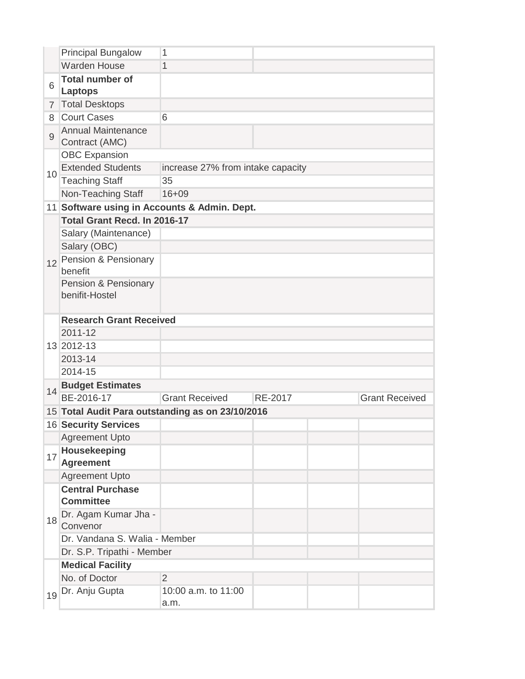|                | <b>Principal Bungalow</b>                        | 1                                            |         |                       |  |  |
|----------------|--------------------------------------------------|----------------------------------------------|---------|-----------------------|--|--|
|                | <b>Warden House</b>                              | 1                                            |         |                       |  |  |
| 6              | <b>Total number of</b><br><b>Laptops</b>         |                                              |         |                       |  |  |
| $\overline{7}$ | <b>Total Desktops</b>                            |                                              |         |                       |  |  |
| 8              | <b>Court Cases</b>                               | 6                                            |         |                       |  |  |
| $\overline{9}$ | <b>Annual Maintenance</b><br>Contract (AMC)      |                                              |         |                       |  |  |
|                | <b>OBC Expansion</b>                             |                                              |         |                       |  |  |
| 10             | <b>Extended Students</b>                         | increase 27% from intake capacity            |         |                       |  |  |
|                | <b>Teaching Staff</b>                            | 35                                           |         |                       |  |  |
|                | Non-Teaching Staff                               | $16 + 09$                                    |         |                       |  |  |
|                |                                                  | 11 Software using in Accounts & Admin. Dept. |         |                       |  |  |
|                | Total Grant Recd. In 2016-17                     |                                              |         |                       |  |  |
|                | Salary (Maintenance)                             |                                              |         |                       |  |  |
|                | Salary (OBC)                                     |                                              |         |                       |  |  |
| 12             | Pension & Pensionary<br>benefit                  |                                              |         |                       |  |  |
|                | Pension & Pensionary<br>benifit-Hostel           |                                              |         |                       |  |  |
|                | <b>Research Grant Received</b>                   |                                              |         |                       |  |  |
|                | 2011-12                                          |                                              |         |                       |  |  |
|                | 13 2012-13                                       |                                              |         |                       |  |  |
|                | 2013-14                                          |                                              |         |                       |  |  |
|                | 2014-15                                          |                                              |         |                       |  |  |
| 14             | <b>Budget Estimates</b>                          |                                              |         |                       |  |  |
|                | BE-2016-17                                       | <b>Grant Received</b>                        | RE-2017 | <b>Grant Received</b> |  |  |
|                | 15 Total Audit Para outstanding as on 23/10/2016 |                                              |         |                       |  |  |
|                | <b>16 Security Services</b>                      |                                              |         |                       |  |  |
|                | <b>Agreement Upto</b>                            |                                              |         |                       |  |  |
| 17             | Housekeeping<br><b>Agreement</b>                 |                                              |         |                       |  |  |
|                | <b>Agreement Upto</b>                            |                                              |         |                       |  |  |
|                | <b>Central Purchase</b><br><b>Committee</b>      |                                              |         |                       |  |  |
| 18             | Dr. Agam Kumar Jha -<br>Convenor                 |                                              |         |                       |  |  |
|                | Dr. Vandana S. Walia - Member                    |                                              |         |                       |  |  |
|                | Dr. S.P. Tripathi - Member                       |                                              |         |                       |  |  |
|                | <b>Medical Facility</b>                          |                                              |         |                       |  |  |
|                | No. of Doctor                                    | $\overline{2}$                               |         |                       |  |  |
|                | 19 <sup>Dr.</sup> Anju Gupta                     | 10:00 a.m. to 11:00<br>a.m.                  |         |                       |  |  |